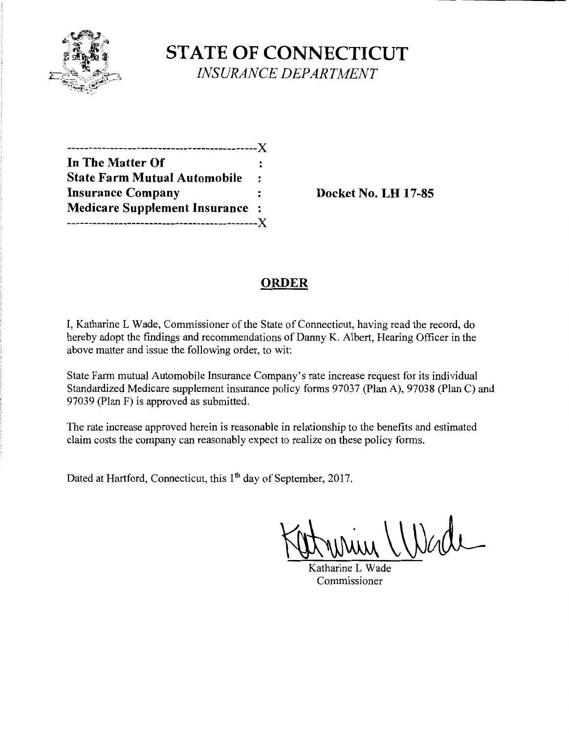

**STATE OF CONNECTICUT** *INSURANCE DEPARTMENT* 

| --------------------------X           |                |
|---------------------------------------|----------------|
| In The Matter Of                      |                |
| <b>State Farm Mutual Automobile</b>   | $\ddot{\cdot}$ |
| <b>Insurance Company</b>              |                |
| <b>Medicare Supplement Insurance:</b> |                |
| -----------------------               | $- X$          |

**Insurance Company Docket** No. **LH 17-85** 

## **ORDER**

I, Katharine L Wade, Commissioner of the State of Connecticut, having read the record, do hereby adopt the findings and recommendations of Danny K. Albert, Hearing Officer in the above matter and issue the following order, to wit:

State Farm mutual Automobile Insurance Company's rate increase request for its individual Standardized Medicare supplement insurance policy forms 97037 (Plan A), 97038 (Plan C) and 97039 (Plan F) is approved as submitted.

The rate increase approved herein is reasonable in relationship to the benefits and estimated claim costs the company can reasonably expect to realize on these policy forms.

Dated at Hartford, Connecticut, this 1<sup>th</sup> day of September, 2017.

Katharine L Wade Commissioner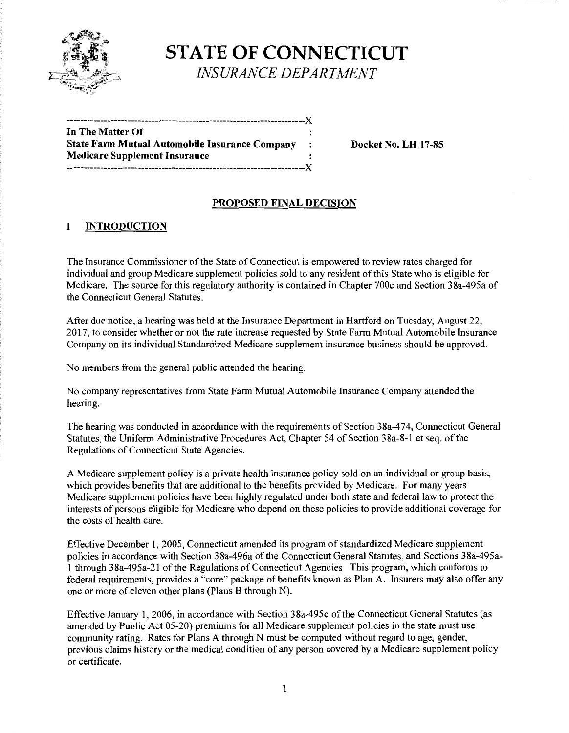

# **STATE OF CONNECTICUT** *INSURANCE DEPARTMENT*

| In The Matter Of                                      |              |
|-------------------------------------------------------|--------------|
| <b>State Farm Mutual Automobile Insurance Company</b> | $\mathbf{r}$ |
| <b>Medicare Supplement Insurance</b>                  |              |
|                                                       |              |

**State Farm Mutual Automobile Insurance Company Docket** No. **LH 17-85** 

### **PROPOSED FINAL DECISION**

#### I **INTRODUCTION**

The Insurance Commissioner of the State of Connecticut is empowered to review rates charged for individual and group Medicare supplement policies sold to any resident of this State who is eligible for Medicare. The source for this regulatory authority is contained in Chapter 700c and Section 38a-495a of the Connecticut General Statutes.

After due notice, a hearing was held at the Insurance Department in Hartford on Tuesday, August 22, 2017, to consider whether or not the rate increase requested by State Farm Mutual Automobile Insurance Company on its individual Standardized Medicare supplement insurance business should be approved.

No members from the general public attended the hearing.

No company representatives from State Farm Mutual Automobile Insurance Company attended the hearing.

The hearing was conducted in accordance with the requirements of Section 38a-474, Connecticut General Statutes, the Uniform Administrative Procedures Act, Chapter 54 of Section 38a-8-1 et seq. of the Regulations of Connecticut State Agencies.

A Medicare supplement policy is a private health insurance policy sold on an individual or group basis, which provides benefits that are additional to the benefits provided by Medicare. For many years Medicare supplement policies have been highly regulated under both state and federal law to protect the interests of persons eligible for Medicare who depend on these policies to provide additional coverage for the costs of health care.

Effective December 1, 2005, Connecticut amended its program of standardized Medicare supplement policies in accordance with Section 38a-496a of the Connecticut General Statutes, and Sections 38a-495a-1 through 38a-495a-21 of the Regulations ofConnecticut Agencies. This program, which conforms to federal requirements, provides a "core" package of benefits known as Plan A. Insurers may also offer any one or more of eleven other plans (Plans B through N).

Effective January 1, 2006, in accordance with Section 38a-495c of the Connecticut General Statutes (as amended by Public Act 05-20) premiums for all Medicare supplement policies in the state must use community rating. Rates for Plans A through N must be computed without regard to age, gender, previous claims history or the medical condition of any person covered by a Medicare supplement policy or certificate.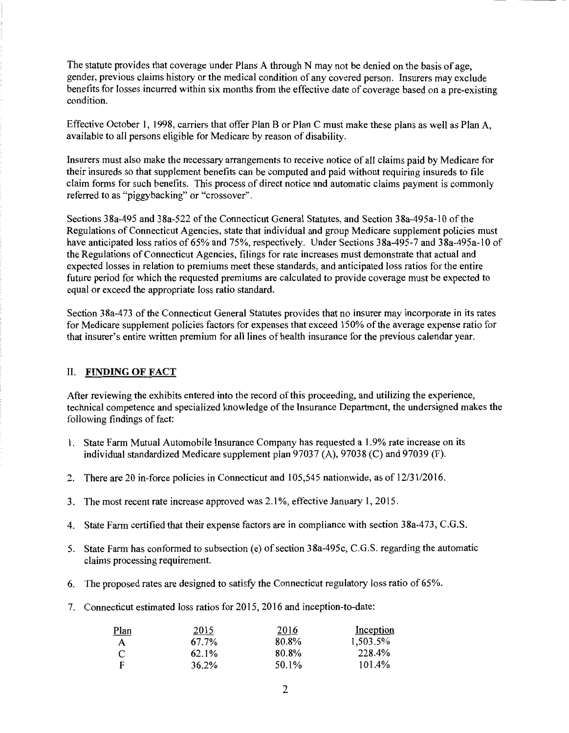The statute provides that coverage under Plans A through N may not be denied on the basis of age, gender, previous claims history or the medical condition of any covered person. Insurers may exclude benefits for losses incurred within six months from the effective date of coverage based on a pre-existing condition.

Effective October 1, 1998, carriers that offer Plan B or Plan C must make these plans as well as Plan A, available to all persons eligible for Medicare by reason of disability.

Insurers must also make the necessary arrangements to receive notice of all claims paid by Medicare for their insureds so that supplement benefits can be computed and paid without requiring insureds to file claim forms for such benefits. This process of direct notice and automatic claims payment is commonly referred to as "piggybacking" or "crossover".

Sections 38a-495 and 38a-522 of the Connecticut General Statutes, and Section 38a-495a-10 of the Regulations of Connecticut Agencies, state that individual and group Medicare supplement policies must have anticipated loss ratios of 65% and 75%, respectively. Under Sections 38a-495-7 and 38a-495a-10 of the Regulations ofConnecticut Agencies, filings for rate increases must demonstrate that actual and expected losses in relation to premiums meet these standards, and anticipated loss ratios for the entire future period for which the requested premiums are calculated to provide coverage must be expected to equal or exceed the appropriate loss ratio standard.

Section 38a-473 of the Connecticut General Statutes provides that no insurer may incorporate in its rates for Medicare supplement policies factors for expenses that exceed 150% of the average expense ratio for that insurer's entire written premium for all lines of health insurance for the previous calendar year.

### II. FINDING OF FACT

After reviewing the exhibits entered into the record of this proceeding, and utilizing the experience, technical competence and specialized knowledge of the Insurance Department, the undersigned makes the following findings of fact:

- 1. State Farm Mutual Automobile Insurance Company has requested a 1.9% rate increase on its individual standardized Medicare supplement plan 97037 (A), 97038 (C) and 97039 (F).
- 2. There are 20 in-force policies in Connecticut and 105,545 nationwide, as of 12/31/2016.
- 3. The most recent rate increase approved was 2.1 %, effective January 1, 2015.
- 4. State Farm certified that their expense factors are in compliance with section 38a-473, C.G.S.
- 5. State Farm has conformed to subsection (e) of section 38a-495c, C.G.S. regarding the automatic claims processing requirement.
- 6. The proposed rates are designed to satisfy the Connecticut regulatory loss ratio of 65%.
- 7. Connecticut estimated loss ratios for 2015, 2016 and inception-to-date:

| Plan | 2015  | 2016  | Inception |
|------|-------|-------|-----------|
| A    | 67.7% | 80.8% | 1,503.5%  |
| C    | 62.1% | 80.8% | 228.4%    |
| F    | 36.2% | 50.1% | 101.4%    |